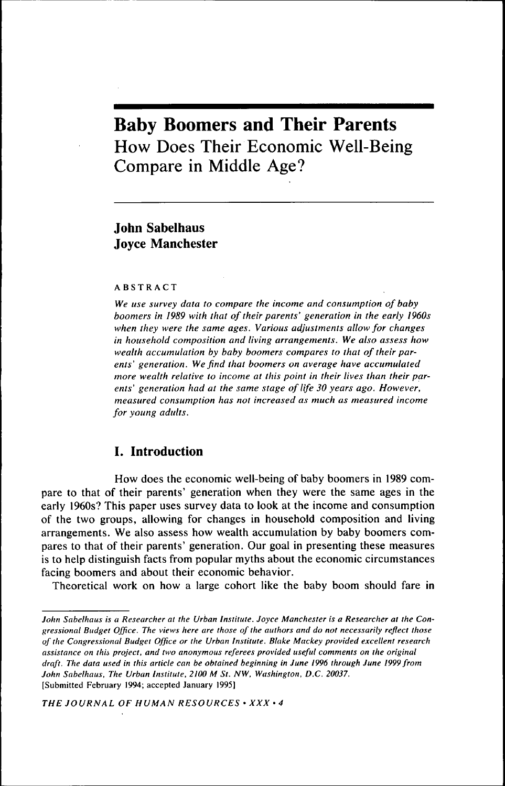# **Baby Boomers and Their Parents** How Does Their Economic Well-Being Compare in Middle Age?

# **John Sabelhaus Joyce Manchester**

#### ABSTRACT

*We use survey data to compare the income and consumption of baby boomers in 1989 with that of their parents' generation in the early 1960s when they were the same ages. Various adjustments allow for changes in household composition and living arrangements. We also assess how wealth accumulation by baby boomers compares to that of their parents' generation. We find that boomers on average have accumulated more wealth relative to income at this point in their lives than their parents' generation had at the same stage of life 30 years ago. However, measured consumption has not increased as much as measured income for young adults.*

## *I.* **Introduction**

How does the economic well-being of baby boomers in 1989 compare to that of their parents' generation when they were the same ages in the early 1960s? This paper uses survey data to look at the income and consumption of the two groups, allowing for changes in household composition and living arrangements. We also assess how wealth accumulation by baby boomers compares to that of their parents' generation. Our goal in presenting these measures is to help distinguish facts from popular myths about the economic circumstances facing boomers and about their economic behavior.

Theoretical work on how a large cohort like the baby boom should fare in

*THE JOURNAL OF HUMAN RESOURCES • XXX • 4*

*John Sabelhaus is a Researcher at the Urban Institute. Joyce Manchester is a Researcher at the Congressional Budget Office. The views here are those of the authors and do not necessarily reflect those of the Congressional Budget Office or the Urban Institute. Blake Mackey provided excellent research assistance on this project, and two anonymous referees provided useful comments on the original draft. The data used in this article can be obtained beginning in June 1996 through June 1999 from John Sabelhaus. The Urban Institute, 2100 M St. NW, Washington, D.C. 20037,* [Submitted February 1994; accepted January 1995]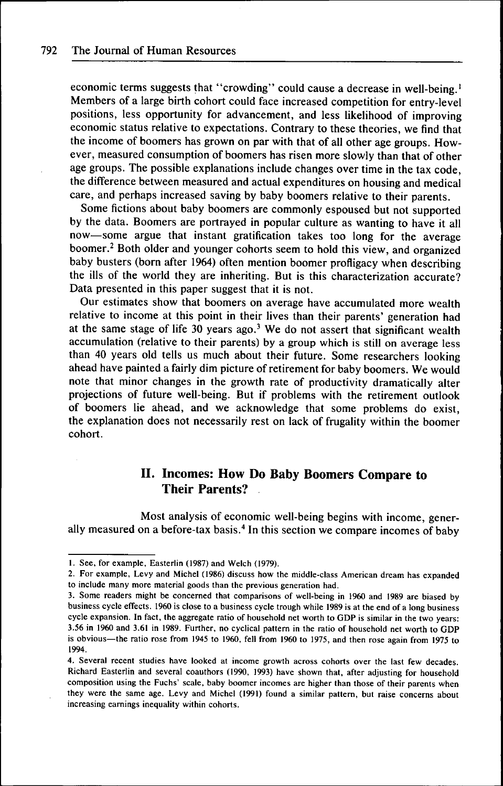economic terms suggests that "crowding" could cause a decrease in well-being.<sup>1</sup> Members of a large birth cohort could face increased competition for entry-level positions, less opportunity for advancement, and less likelihood of improving economic status relative to expectations. Contrary to these theories, we find that the income of boomers has grown on par with that of all other age groups. However, measured consumption of boomers has risen more slowly than that of other age groups. The possible explanations include changes over time in the tax code, the difference between measured and actual expenditures on housing and medical care, and perhaps increased saving by baby boomers relative to their parents.

Some fictions about baby boomers are commonly espoused but not supported by the data. Boomers are portrayed in popular culture as wanting to have it all now—some argue that instant gratification takes too long for the average boomer.<sup>2</sup> Both older and younger cohorts seem to hold this view, and organized baby busters (born after 1964) often mention boomer profligacy when describing the ills of the world they are inheriting. But is this characterization accurate? Data presented in this paper suggest that it is not.

Our estimates show that boomers on average have accumulated more wealth relative to income at this point in their lives than their parents' generation had at the same stage of life 30 years ago.<sup>3</sup> We do not assert that significant wealth accumulation (relative to their parents) by a group which is still on average less than 40 years old tells us much about their future. Some researchers looking ahead have painted a fairly dim picture of retirement for baby boomers. We would note that minor changes in the growth rate of productivity dramatically alter projections of future well-being. But if problems with the retirement outlook of boomers lie ahead, and we acknowledge that some problems do exist, the explanation does not necessarily rest on lack of frugality within the boomer cohort.

## II. Incomes: How Do Baby Boomers Compare to Their Parents?

Most analysis of economic well-being begins with income, generally measured on a before-tax basis.<sup>4</sup> In this section we compare incomes of baby

<sup>1,</sup> See. for example, Easterlin (1987) and Welch (1979),

<sup>2,</sup> For example, Levy and Michel (1986) discuss how the middle-class American dream has expanded to include many more material goods than the previous generation had.

<sup>3,</sup> Some readers might be concerned that comparisons of well-being in 1960 and 1989 are biased by business cycle effects, 1960 is close to a business cycle trough while 1989 is at the end of a long business cycle expansion. In fact, the aggregate ratio of household net worth to GDP is similar in the two years: 3,56 in 1960 and 3,61 in 1989, Further, no cyclical pattern in the ratio of household net worth to GDP is obvious—the ratio rose from 1945 to 1960, fell from 1960 to 1975, and then rose again from 1975 to 1994,

<sup>4,</sup> Several recent studies have looked at income growth across cohorts over the last few decades, Richard Easterlin and several coauthors (1990, 1993) have shown that, after adjusting for household composition using the Fuchs' scale, baby boomer incomes are higher than those of their parents when they were the same age. Levy and Michel (1991) found a similar pattern, but raise concerns about increasing earnings inequality within cohorts.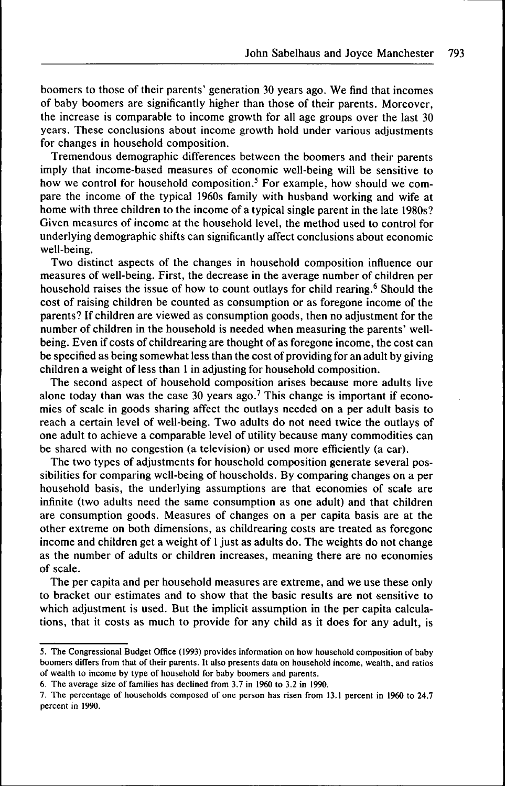boomers to those of their parents' generation 30 years ago. We find that incomes of baby boomers are significantly higher than those of their parents. Moreover, the increase is comparable to income growth for all age groups over the last 30 years. These conclusions about income growth hold under various adjustments for changes in household composition.

Tremendous demographic differences between the boomers and their parents imply that income-based measures of economic well-being will be sensitive to how we control for household composition.<sup>5</sup> For example, how should we compare the income of the typical 1960s family with husband working and wife at home with three children to the income of a typical single parent in the late 1980s? Given measures of income at the household level, the method used to control for underlying demographic shifts can significantly affect conclusions about economic well-being.

Two distinct aspects of the changes in household composition influence our measures of well-being. First, the decrease in the average number of children per household raises the issue of how to count outlays for child rearing.<sup>6</sup> Should the cost of raising children be counted as consumption or as foregone income of the parents? If children are viewed as consumption goods, then no adjustment for the number of children in the household is needed when measuring the parents' wellbeing. Even if costs of childrearing are thought of as foregone income, the cost can be specified as being somewhat less than the cost of providing for an adult by giving children a weight of less than 1 in adjusting for household composition.

The second aspect of household composition arises because more adults live alone today than was the case 30 years ago.<sup>7</sup> This change is important if economies of scale in goods sharing affect the outlays needed on a per adult basis to reach a certain level of well-being. Two adults do not need twice the outlays of one adult to achieve a comparable level of utility because many commodities can be shared with no congestion (a television) or used more efficiently (a car).

The two types of adjustments for household composition generate several possibilities for comparing well-being of households. By comparing changes on a per household basis, the underlying assumptions are that economies of scale are infinite (two adults need the same consumption as one adult) and that children are consumption goods. Measures of changes on a per capita basis are at the other extreme on both dimensions, as childrearing costs are treated as foregone income and children get a weight of 1 just as adults do. The weights do not change as the number of adults or children increases, meaning there are no economies of scale.

The per capita and per household measures are extreme, and we use these only to bracket our estimates and to show that the basic results are not sensitive to which adjustment is used. But the implicit assumption in the per capita calculations, that it costs as much to provide for any child as it does for any adult, is

<sup>5,</sup> The Congressional Budget Office (1993) provides information on how household composition of baby boomers differs from that of their parents. It also presents data on household income, wealth, and ratios of wealth to income by type of household for baby boomers and parents,

<sup>6,</sup> The average size of families has declined from 3,7 in 1960 to 3,2 in 1990,

<sup>7,</sup> The percentage of households composed of one person has risen from 13,1 percent in 1960 to 24,7 percent in 1990,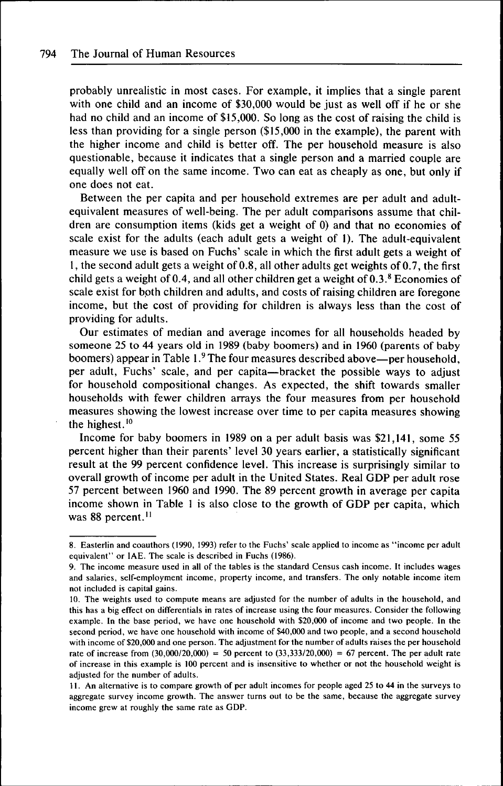probably unrealistic in most cases. For example, it implies that a single parent with one child and an income of \$30,000 would be just as well off if he or she had no child and an income of \$15,000. So long as the cost of raising the child is less than providing for a single person (\$15,000 in the example), the parent with the higher income and child is better off. The per household measure is also questionable, because it indicates that a single person and a married couple are equally well off on the same income. Two can eat as cheaply as one, but only if one does not eat.

Between the per capita and per household extremes are per adult and adultequivalent measures of well-being. The per adult comparisons assume that children are consumption items (kids get a weight of 0) and that no economies of scale exist for the adults (each adult gets a weight of 1). The adult-equivalent measure we use is based on Fuchs' scale in which the first adult gets a weight of 1, the second adult gets a weight of 0.8, all other adults get weights of 0.7, the first child gets a weight of 0.4, and all other children get a weight of  $0.3<sup>8</sup>$  Economies of scale exist for both children and adults, and costs of raising children are foregone income, but the cost of providing for children is always less than the cost of providing for adults.

Our estimates of median and average incomes for all households headed by someone 25 to 44 years old in 1989 (baby boomers) and in 1960 (parents of baby boomers) appear in Table 1.<sup>9</sup> The four measures described above—per household, per adult, Fuchs' scale, and per capita—bracket the possible ways to adjust for household compositional changes. As expected, the shift towards smaller households with fewer children arrays the four measures from per household measures showing the lowest increase over time to per capita measures showing the highest. $10$ 

Income for baby boomers in 1989 on a per adult basis was \$21,141, some 55 percent higher than their parents' level 30 years earlier, a statistically significant result at the 99 percent confidence level. This increase is surprisingly similar to overall growth of income per adult in the United States. Real GDP per adult rose 57 percent between 1960 and 1990. The 89 percent growth in average per capita income shown in Table 1 is also close to the growth of GDP per capita, which was 88 percent.<sup>11</sup>

<sup>8.</sup> Easterlin and coauthors (1990, 1993) refer to the Fuchs' scale applied to income as "income per adult equivalent" or IAE. The scale is described in Fuchs (1986).

<sup>9.</sup> The income measure used in all of the tables is the standard Census cash income. It includes wages and salaries, self-employment income, property income, and transfers. The only notable income item not included is capital gains.

<sup>10.</sup> The weights used to compute means are adjusted for the number of adults in the household, and this has a big effect on differentials in rates of increase using the four measures. Consider the following example. In the base period, we have one household with \$20,000 of income and two people. In the second period, we have one household with income of \$40,000 and two people, and a second household with income of \$20,000 and one person. The adjustment for the number of adults raises the per household rate of increase from  $(30,000/20,000) = 50$  percent to  $(33,333/20,000) = 67$  percent. The per adult rate of increase in this example is 100 percent and is insensitive to whether or not the household weight is adjusted for the number of adults.

<sup>11.</sup> An alternative is to compare growth of per adult incomes for people aged 25 to 44 in the surveys to aggregate survey income growth. The answer turns out to be the same, because the aggregate survey income grew at roughly the same rate as GDP.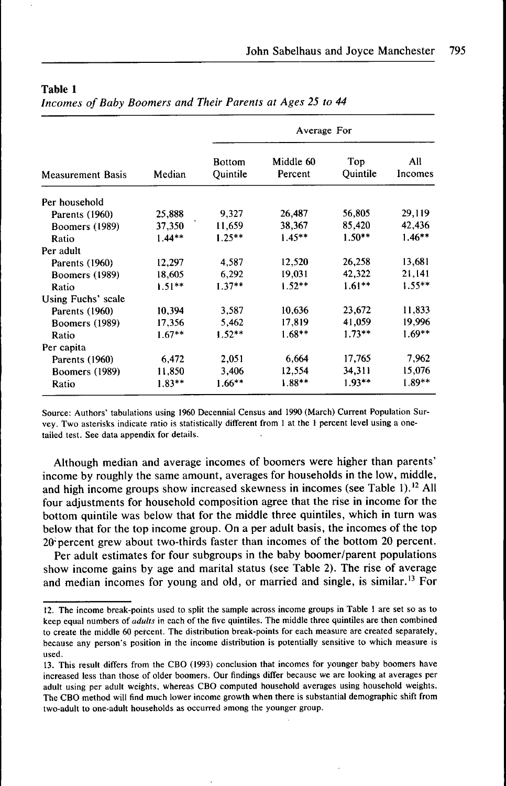| <b>Measurement Basis</b> | Median   | Average For               |                      |                 |                |
|--------------------------|----------|---------------------------|----------------------|-----------------|----------------|
|                          |          | <b>Bottom</b><br>Quintile | Middle 60<br>Percent | Top<br>Quintile | All<br>Incomes |
| Per household            |          |                           |                      |                 |                |
| Parents (1960)           | 25,888   | 9,327                     | 26,487               | 56,805          | 29,119         |
| <b>Boomers</b> (1989)    | 37,350   | 11.659                    | 38,367               | 85,420          | 42,436         |
| Ratio                    | $1.44**$ | $1.25**$                  | $1.45**$             | $1.50**$        | $1.46***$      |
| Per adult                |          |                           |                      |                 |                |
| Parents (1960)           | 12,297   | 4,587                     | 12,520               | 26,258          | 13,681         |
| Boomers (1989)           | 18,605   | 6,292                     | 19,031               | 42,322          | 21,141         |
| Ratio                    | $1.51**$ | $1.37**$                  | $1.52**$             | $1.61**$        | $1.55**$       |
| Using Fuchs' scale       |          |                           |                      |                 |                |
| Parents (1960)           | 10,394   | 3,587                     | 10,636               | 23,672          | 11,833         |
| Boomers (1989)           | 17,356   | 5,462                     | 17.819               | 41,059          | 19,996         |
| Ratio                    | $1.67**$ | $1.52**$                  | $1.68***$            | $1.73**$        | $1.69**$       |
| Per capita               |          |                           |                      |                 |                |
| Parents (1960)           | 6,472    | 2,051                     | 6,664                | 17,765          | 7,962          |
| <b>Boomers (1989)</b>    | 11,850   | 3,406                     | 12,554               | 34,311          | 15,076         |
| Ratio                    | $1.83**$ | $1.66***$                 | $1.88**$             | $1.93**$        | $1.89**$       |

*Incomes of Baby Boomers and Their Parents at Ages 25 to 44*

Source; Authors' tabulations using 1960 Decennial Census and 1990 (March) Current Population Survey, Two asterisks indicate ratio is statistically different from 1 at the 1 percent level using a onetailed test. See data appendix for details.

Although median and average incomes of boomers were higher than parents' income by roughly the same amount, averages for households in the low, middle, and high income groups show increased skewness in incomes (see Table 1).<sup>12</sup> All four adjustments for household composition agree that the rise in income for the bottom quintile was below that for the middle three quintiles, which in turn was below that for the top income group. On a per adult basis, the incomes of the top 20-percent grew about two-thirds faster than incomes of the bottom 20 percent.

Per adult estimates for four subgroups in the baby boomer/parent populations show income gains by age and marital status (see Table 2). The rise of average and median incomes for young and old, or married and single, is similar.<sup>13</sup> For

<sup>12,</sup> The income break-points used to split the sample across income groups in Table 1 are set so as to keep equal numbers of *adults* in each of the five quintiles. The middle three quintiles are then combined to create the middle 60 percent. The distribution break-points for each measure are created separately, because any person's position in the income distribution is potentially sensitive to which measure is used,

<sup>13,</sup> This result differs from the CBO (1993) conclusion that incomes for younger baby boomers have increased less than those of older boomers. Our findings differ because we are looking at averages per adult using per adult weights, whereas CBO computed household averages using household weights. The CBO method will find much lower income growth when there is substantial demographic shift from two-adult to one-adult households as occurred among the younger group.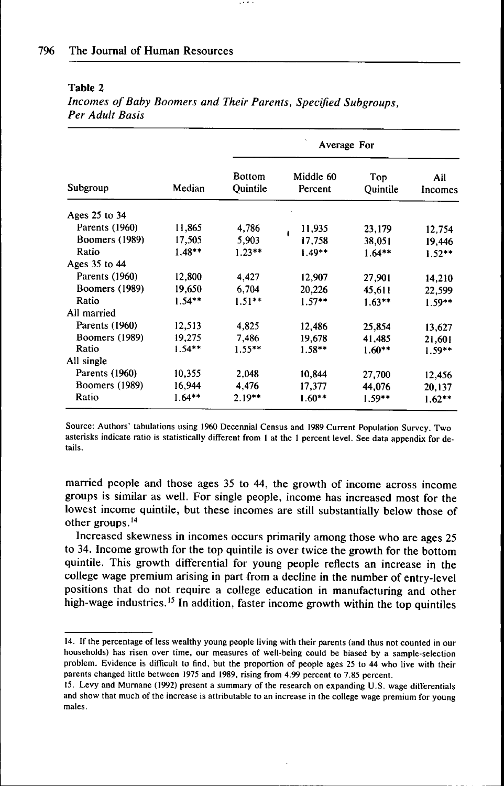| Subgroup              | Median    | Average For               |                      |                 |                |
|-----------------------|-----------|---------------------------|----------------------|-----------------|----------------|
|                       |           | <b>Bottom</b><br>Ouintile | Middle 60<br>Percent | Top<br>Quintile | Ail<br>Incomes |
| Ages 25 to 34         |           |                           |                      |                 |                |
| Parents (1960)        | 11,865    | 4,786                     | 11,935               | 23,179          | 12.754         |
| Boomers (1989)        | 17,505    | 5,903                     | 17,758               | 38,051          | 19.446         |
| Ratio                 | $1.48**$  | $1.23**$                  | $1.49**$             | $1.64**$        | $1.52**$       |
| Ages 35 to 44         |           |                           |                      |                 |                |
| Parents (1960)        | 12,800    | 4,427                     | 12,907               | 27,901          | 14,210         |
| <b>Boomers</b> (1989) | 19.650    | 6.704                     | 20,226               | 45,611          | 22,599         |
| Ratio                 | $1.54**$  | $1.51***$                 | $1.57**$             | $1.63***$       | $1.59**$       |
| All married           |           |                           |                      |                 |                |
| Parents (1960)        | 12,513    | 4,825                     | 12,486               | 25,854          | 13,627         |
| Boomers (1989)        | 19,275    | 7.486                     | 19,678               | 41,485          | 21,601         |
| Ratio                 | $1.54***$ | $1.55***$                 | $1.58***$            | $1.60**$        | $1.59**$       |
| All single            |           |                           |                      |                 |                |
| Parents (1960)        | 10,355    | 2,048                     | 10,844               | 27,700          | 12,456         |
| Boomers (1989)        | 16,944    | 4,476                     | 17,377               | 44,076          | 20,137         |
| Ratio                 | $1.64***$ | $2.19**$                  | $1.60**$             | $1.59**$        | $1.62***$      |

*Incomes of Baby Boomers and Their Parents, Specified Subgroups, Per Adult Basis*

 $\cdots$ 

Source: Authors' tabulations using 1960 Decennial Census and 1989 Current Population Survey, Two asterisks indicate ratio is statistically different from 1 at the 1 percent level. See data appendix for details.

married people and those ages 35 to 44, the growth of income across income groups is similar as well. For single people, income has increased most for the lowest income quintile, but these incomes are still substantially below those of other groups.<sup>14</sup>

Increased skewness in incomes occurs primarily among those who are ages 25 to 34. Income growth for the top quintile is over twice the growth for the bottom quintile. This growth differential for young people reflects an increase in the college wage premium arising in part from a decline in the number of entry-level positions that do not require a college education in manufacturing and other high-wage industries.<sup>15</sup> In addition, faster income growth within the top quintiles

<sup>14,</sup> If the percentage of less wealthy young people living with their parents (and thus not counted in our households) has risen over time, our measures of well-being could be biased by a sample-selection problem. Evidence is difficult to find, but the proportion of people ages 25 to 44 who live with their parents changed little between 1975 and 1989, rising from 4,99 percent to 7,85 percent,

<sup>15,</sup> Levy and Murnane (1992) present a summary of the research on expanding U,S, wage differentials and show that much of the increase is attributable to an increase in the college wage premium for young males.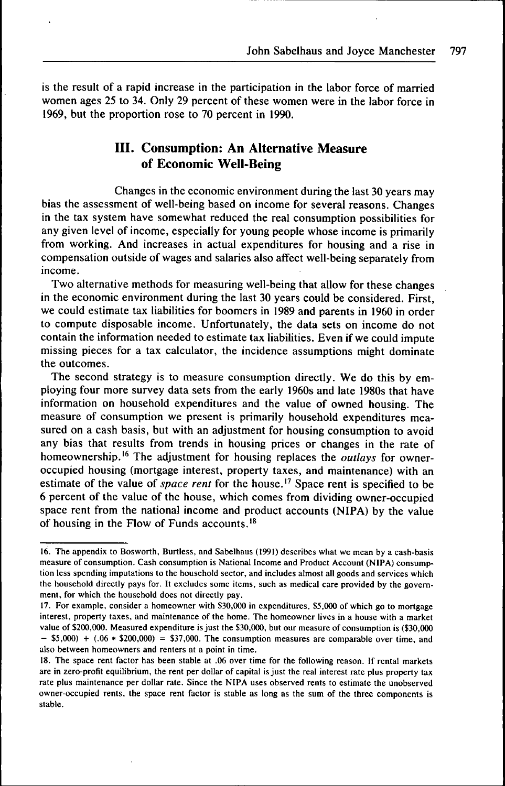is the result of a rapid increase in the participation in the labor force of married women ages 25 to 34. Only 29 percent of these women were in the labor force in 1969, but the proportion rose to 70 percent in 1990.

# **III. Consumption: An Alternative Measure of Economic Well-Being**

Changes in the economic environment during the last 30 years may bias the assessment of well-being based on income for several reasons. Changes in the tax system have somewhat reduced the real consumption possibilities for any given level of income, especially for young people whose income is primarily from working. And increases in actual expenditures for housing and a rise in compensation outside of wages and salaries also affect well-being separately from income.

Two alternative methods for measuring well-being that allow for these changes in the economic environment during the last 30 years could be considered. First, we could estimate tax liabilities for boomers in 1989 and parents in 1960 in order to compute disposable income. Unfortunately, the data sets on income do not contain the information needed to estimate tax liabilities. Even if we could impute missing pieces for a tax calculator, the incidence assumptions might dominate the outcomes.

The second strategy is to measure consumption directly. We do this by employing four more survey data sets from the early 1960s and late 1980s that have information on household expenditures and the value of owned housing. The measure of consumption we present is primarily household expenditures measured on a cash basis, but with an adjustment for housing consumption to avoid any bias that results from trends in housing prices or changes in the rate of homeownership.<sup>16</sup> The adjustment for housing replaces the *outlays* for owneroccupied housing (mortgage interest, property taxes, and maintenance) with an estimate of the value of *space rent* for the house.<sup>17</sup> Space rent is specified to be 6 percent of the value of the house, which comes from dividing owner-occupied space rent from the national income and product accounts (NIPA) by the value of housing in the Flow of Funds accounts.<sup>18</sup>

<sup>16.</sup> The appendix to Bosworth, Burtless, and Sabelhaus (1991) describes what we mean by a cash-basis measure of consumption. Cash consumption is National Income and Product Account (NIPA) consumption less spending imputations to the household sector, and includes almost all goods and services which the household directly pays for. It excludes some items, such as medical care provided by the govemment, for which the household does not directly pay.

<sup>17.</sup> For example, consider a homeowner with \$30,000 in expenditures, \$5,000 of which go to mortgage interest, property taxes, and maintenance of the home. The homeowner lives in a house with a market value of \$200,000. Measured expenditure is just the \$30,000, but our measure of consumption is (\$30,000  $-$  \$5,000) + (.06  $*$  \$200,000) = \$37,000. The consumption measures are comparable over time, and also between homeowners and renters at a point in time.

<sup>18.</sup> The space rent factor has been stable at .06 over time for the following reason. If rental markets are in zero-profit equilibrium, the rent per dollar of capital is just the real interest rate plus property tax rate plus maintenance per dollar rate. Since the NIPA uses observed rents to estimate the unobserved owner-occupied rents, the space rent factor is stable as long as the sum of the three components is stable.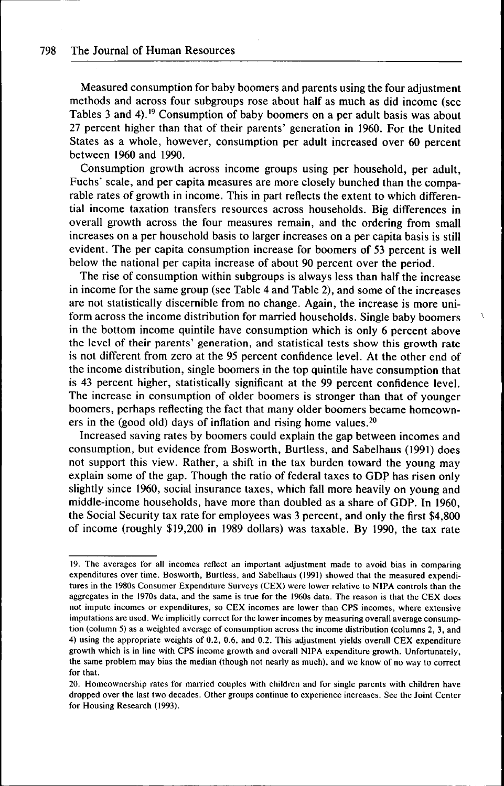Measured consumption for baby boomers and parents using the four adjustment methods and across four subgroups rose about half as much as did income (see Tables 3 and 4).<sup>19</sup> Consumption of baby boomers on a per adult basis was about 27 percent higher than that of their parents' generation in 1960. For the United States as a whole, however, consumption per adult increased over 60 percent between 1960 and 1990.

Consumption growth across income groups using per household, per adult, Fuchs' scale, and per capita measures are more closely bunched than the comparable rates of growth in income. This in part reflects the extent to which differential income taxation transfers resources across households. Big differences in overall growth across the four measures remain, and the ordering from small increases on a per household basis to larger increases on a per capita basis is still evident. The per capita consumption increase for boomers of 53 percent is well below the national per capita increase of about 90 percent over the period.

The rise of consumption within subgroups is always less than half the increase in income for the same group (see Table 4 and Table 2), and some of the increases are not statistically discernible from no change. Again, the increase is more uniform across the income distribution for married households. Single baby boomers in the bottom income quintile have consumption which is only 6 percent above the level of their parents' generation, and statistical tests show this growth rate is not different from zero at the 95 percent confidence level. At the other end of the income distribution, single boomers in the top quintile have consumption that is 43 percent higher, statistically significant at the 99 percent confidence level. The increase in consumption of older boomers is stronger than that of younger boomers, perhaps reflecting the fact that many older boomers became homeowners in the (good old) days of inflation and rising home values. $2<sup>0</sup>$ 

Increased saving rates by boomers could explain the gap between incomes and consumption, but evidence from Bosworth, Burtless, and Sabelhaus (1991) does not support this view. Rather, a shift in the tax burden toward the young may explain some of the gap. Though the ratio of federal taxes to GDP has risen only slightly since 1960, social insurance taxes, which fall more heavily on young and middle-income households, have more than doubled as a share of GDP. In 1960, the Social Security tax rate for employees was 3 percent, and only the first \$4,800 of income (roughly \$19,200 in 1989 dollars) was taxable. By 1990, the tax rate

<sup>19,</sup> The averages for all incomes reflect an important adjustment made to avoid bias in comparing expenditures over time, Bosworth, Burtless. and Sabelhaus (1991) showed that the measured expenditures in the 1980s Consumer Expenditure Surveys (CEX) were lower relative to NIPA controls than the aggregates in the 1970s data, and the same is true for the 1960s data. The reason is that the CEX does not impute incomes or expenditures, so CEX incomes are lower than CPS incomes, where extensive imputations are used. We implicitly correct for the lower incomes by measuring overall average consumption (column 5) as a weighted average of consumption across the income distribution (columns 2, 3, and 4) using the appropriate weights of 0,2. 0.6. and 0,2, This adjustment yields overall CEX expenditure growth which is in line with CPS income growth and overall NIPA expenditure growth. Unfortunately, the same problem may bias the median (though not nearly as much), and we know of no way to correct for that,

<sup>20,</sup> Homeownership rates for married couples with children and for single parents with children have dropped over the last two decades. Other groups continue to experience increases. See the Joint Center for Housing Research (1993),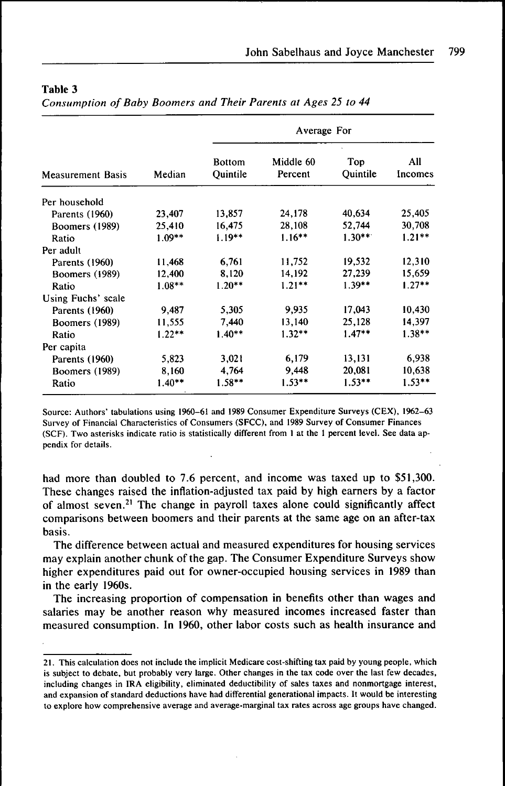*Consumption of Baby Boomers and Their Parents at Ages 25 to 44*

| <b>Measurement Basis</b> | Median   | Average For               |                      |                        |                |
|--------------------------|----------|---------------------------|----------------------|------------------------|----------------|
|                          |          | <b>Bottom</b><br>Quintile | Middle 60<br>Percent | Top<br><b>Quintile</b> | All<br>Incomes |
| Per household            |          |                           |                      |                        |                |
| Parents (1960)           | 23,407   | 13,857                    | 24,178               | 40,634                 | 25,405         |
| Boomers (1989)           | 25,410   | 16,475                    | 28,108               | 52,744                 | 30,708         |
| Ratio                    | $1.09**$ | $1.19***$                 | $1.16***$            | $1.30**$               | $1.21**$       |
| Per adult                |          |                           |                      |                        |                |
| Parents (1960)           | 11.468   | 6,761                     | 11,752               | 19,532                 | 12,310         |
| Boomers (1989)           | 12,400   | 8.120                     | 14,192               | 27,239                 | 15,659         |
| Ratio                    | $1.08**$ | $1.20**$                  | $1.21***$            | $1.39**$               | $1.27**$       |
| Using Fuchs' scale       |          |                           |                      |                        |                |
| Parents (1960)           | 9,487    | 5,305                     | 9,935                | 17,043                 | 10,430         |
| Boomers (1989)           | 11,555   | 7,440                     | 13,140               | 25,128                 | 14,397         |
| Ratio                    | $1.22**$ | $1.40**$                  | $1.32**$             | $1.47**$               | $1.38**$       |
| Per capita               |          |                           |                      |                        |                |
| Parents (1960)           | 5,823    | 3,021                     | 6,179                | 13,131                 | 6,938          |
| Boomers (1989)           | 8.160    | 4,764                     | 9.448                | 20,081                 | 10,638         |
| Ratio                    | $1.40**$ | $1.58**$                  | $1.53**$             | $1.53**$               | $1.53**$       |

Source: Authors' tabulations using 1960-61 and 1989 Consumer Expenditure Surveys (CEX), 1962-63 Survey of Financial Characteristics of Consumers (SFCC), and 1989 Survey of Consumer Finances (SCF), Two asterisks indicate ratio is statistically different from 1 at the 1 percent level. See data appendix for details.

had more than doubled to 7.6 percent, and income was taxed up to \$51,300. These changes raised the inflation-adjusted tax paid by high earners by a factor of almost seven, $2<sup>1</sup>$  The change in payroll taxes alone could significantly affect comparisons between boomers and their parents at the same age on an after-tax basis.

The difference between actual and measured expenditures for housing services may explain another chunk of the gap. The Consumer Expenditure Surveys show higher expenditures paid out for owner-occupied housing services in 1989 than in the early 1960s.

The increasing proportion of compensation in benefits other than wages and salaries may be another reason why measured incomes increased faster than measured consumption. In 1960, other labor costs such as health insurance and

<sup>21,</sup> This calculation does not include the implicit Medicare cost-shifting tax paid by young people, which is subject to debate, but probably very large. Other changes in the tax code over the last few decades, including changes in IRA eligibility, eliminated deductibility of sales taxes and nonmortgage interest, and expansion of standard deductions have had differential generational impacts. It would be interesting to explore how comprehensive average and average-marginal tax rates across age groups have changed.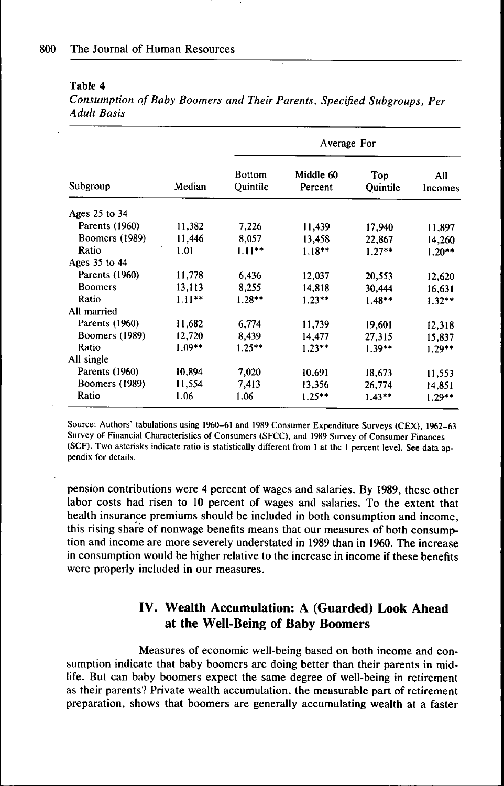*Consumption of Baby Boomers and Their Parents, Specified Subgroups, Per Adult Basis*

| Subgroup              | Median    | Average For               |                      |                 |                |  |
|-----------------------|-----------|---------------------------|----------------------|-----------------|----------------|--|
|                       |           | <b>Bottom</b><br>Ouintile | Middle 60<br>Percent | Top<br>Quintile | All<br>Incomes |  |
| Ages 25 to 34         |           |                           |                      |                 |                |  |
| Parents (1960)        | 11,382    | 7,226                     | 11,439               | 17,940          | 11,897         |  |
| <b>Boomers (1989)</b> | 11,446    | 8,057                     | 13,458               | 22,867          | 14,260         |  |
| Ratio                 | 1.01      | $1.11***$                 | $1.18***$            | $1.27**$        | $1.20**$       |  |
| Ages 35 to 44         |           |                           |                      |                 |                |  |
| Parents (1960)        | 11,778    | 6,436                     | 12,037               | 20,553          | 12,620         |  |
| <b>Boomers</b>        | 13,113    | 8,255                     | 14,818               | 30,444          | 16,631         |  |
| Ratio                 | $1.11***$ | $1.28**$                  | $1.23**$             | $1.48***$       | $1.32**$       |  |
| All married           |           |                           |                      |                 |                |  |
| Parents (1960)        | 11,682    | 6,774                     | 11,739               | 19,601          | 12,318         |  |
| Boomers (1989)        | 12,720    | 8,439                     | 14.477               | 27,315          | 15.837         |  |
| Ratio                 | $1.09**$  | $1.25***$                 | $1.23**$             | $1.39**$        | $1.29**$       |  |
| All single            |           |                           |                      |                 |                |  |
| Parents (1960)        | 10,894    | 7,020                     | 10,691               | 18,673          | 11,553         |  |
| <b>Boomers</b> (1989) | 11,554    | 7,413                     | 13,356               | 26,774          | 14,851         |  |
| Ratio                 | 1.06      | 1.06                      | $1.25***$            | $1.43**$        | $1.29**$       |  |

Source; Authors' tabulations using 1960-61 and 1989 Consumer Expenditure Surveys (CEX), 1962-63 Survey of Financial Characteristics of Consumers (SFCC), and 1989 Survey of Consumer Finances (SCF), Two asterisks indicate ratio is statistically different from 1 at the 1 percent level. See data appendix for details,

pension contributions were 4 percent of wages and salaries. By 1989, these other labor costs had risen to 10 percent of wages and salaries. To the extent that health insurance premiums should be included in both consumption and income, this rising share of nonwage benefits means that our measures of both consumption and income are more severely understated in 1989 than in 1960. The increase in consumption would be higher relative to the increase in income if these benefits were properly included in our measures.

## **IV. Wealth Accumulation: A (Guarded) Look Ahead at the Weil-Being of Baby Boomers**

Measures of economic well-being based on both income and consumption indicate that baby boomers are doing better than their parents in midlife. But can baby boomers expect the same degree of well-being in retirement as their parents? Private wealth accumulation, the measurable part of retirement preparation, shows that boomers are generally accumulating wealth at a faster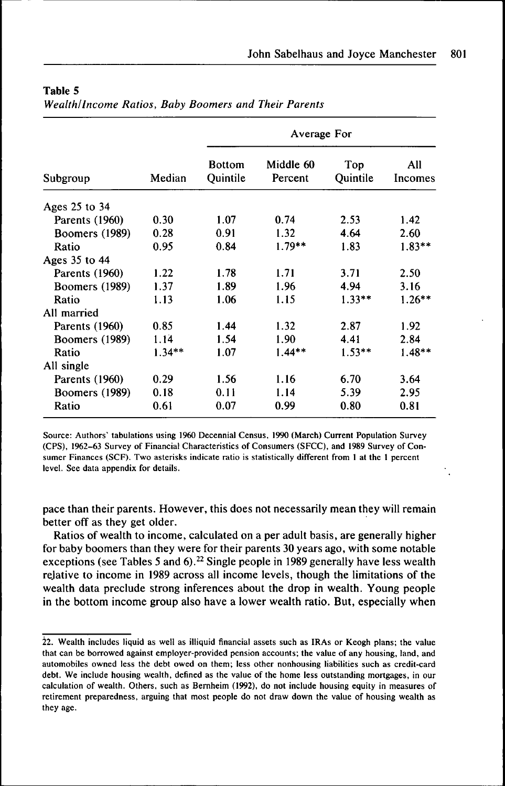| Subgroup              | Median   | Average For               |                      |                 |                |
|-----------------------|----------|---------------------------|----------------------|-----------------|----------------|
|                       |          | <b>Bottom</b><br>Ouintile | Middle 60<br>Percent | Top<br>Quintile | All<br>Incomes |
| Ages 25 to 34         |          |                           |                      |                 |                |
| Parents (1960)        | 0.30     | 1.07                      | 0.74                 | 2.53            | 1.42           |
| <b>Boomers</b> (1989) | 0.28     | 0.91                      | 1.32                 | 4.64            | 2.60           |
| Ratio                 | 0.95     | 0.84                      | $1.79***$            | 1.83            | $1.83**$       |
| Ages 35 to 44         |          |                           |                      |                 |                |
| Parents (1960)        | 1.22     | 1.78                      | 1.71                 | 3.71            | 2.50           |
| Boomers (1989)        | 1.37     | 1.89                      | 1.96                 | 4.94            | 3.16           |
| Ratio                 | 1.13     | 1.06                      | 1.15                 | $1.33**$        | $1.26***$      |
| All married           |          |                           |                      |                 |                |
| Parents (1960)        | 0.85     | 1.44                      | 1.32                 | 2.87            | 1.92           |
| <b>Boomers</b> (1989) | 1.14     | 1.54                      | 1.90                 | 4.41            | 2.84           |
| Ratio                 | $1.34**$ | 1.07                      | $1.44**$             | $1.53***$       | $1.48**$       |
| All single            |          |                           |                      |                 |                |
| Parents (1960)        | 0.29     | 1.56                      | 1.16                 | 6.70            | 3.64           |
| Boomers (1989)        | 0.18     | 0.11                      | 1.14                 | 5.39            | 2.95           |
| Ratio                 | 0.61     | 0.07                      | 0.99                 | 0.80            | 0.81           |

*Wealth/Income Ratios, Baby Boomers and Their Parents*

Source: Authors' tabulations using I960 Decennial Census, 1990 (March) Current Population Survey (CPS), 1962-63 Survey of Financial Characteristics of Consumers (SFCC), and 1989 Survey of Consumer Finances (SCF). Two asterisks indicate ratio is statistically different from 1 at the 1 percent level. See data appendix for details.

pace than their parents. However, this does not necessarily mean they will remain better off as they get older.

Ratios of wealth to income, calculated on a per adult basis, are generally higher for baby boomers than they were for their parents 30 years ago, with some notable exceptions (see Tables 5 and 6).<sup>22</sup> Single people in 1989 generally have less wealth rejative to income in 1989 across all income levels, though the limitations of the wealth data preclude strong inferences about the drop in wealth. Young people in the bottom income group also have a lower wealth ratio. But, especially when

<sup>22.</sup> Wealth includes liquid as well as illiquid financial assets such as IRAs or Keogh plans; the value that can be borrowed against employer-provided pension accounts: the value of any housing, land, and automobiles owned less the debt owed on them; less other nonhousing liabilities such as credit-card debt. We include housing wealth, defined as the value of the home less outstanding mortgages, in our calculation of wealth. Others, such as Bemheim (1992), do not include housing equity in measures of retirement preparedness, arguing that most people do not draw down the value of housing wealth as they age.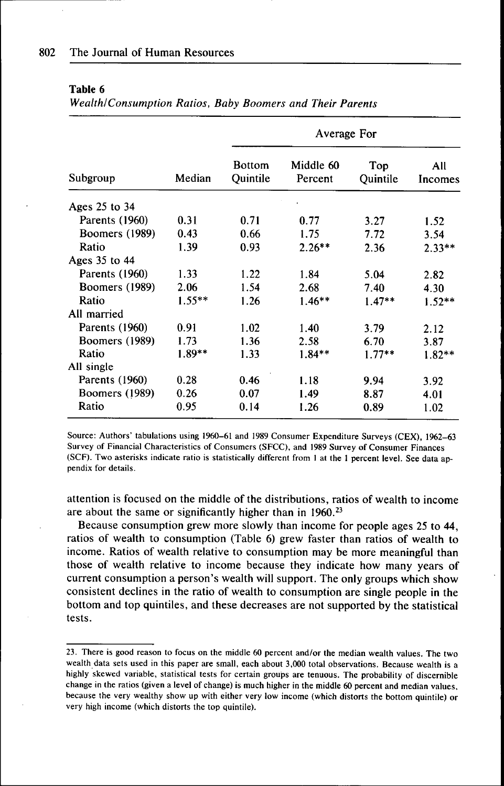| Subgroup              | Median   | Average For               |                      |                 |                |
|-----------------------|----------|---------------------------|----------------------|-----------------|----------------|
|                       |          | <b>Bottom</b><br>Quintile | Middle 60<br>Percent | Top<br>Quintile | All<br>Incomes |
| Ages 25 to 34         |          |                           |                      |                 |                |
| Parents (1960)        | 0.31     | 0.71                      | 0.77                 | 3.27            | 1.52           |
| <b>Boomers</b> (1989) | 0.43     | 0.66                      | 1.75                 | 7.72            | 3.54           |
| Ratio                 | 1.39     | 0.93                      | $2.26**$             | 2.36            | $2.33**$       |
| Ages 35 to 44         |          |                           |                      |                 |                |
| Parents (1960)        | 1.33     | 1.22                      | 1.84                 | 5.04            | 2.82           |
| Boomers (1989)        | 2.06     | 1.54                      | 2.68                 | 7.40            | 4.30           |
| Ratio                 | $1.55**$ | 1.26                      | $1.46**$             | $1.47**$        | $1.52**$       |
| All married           |          |                           |                      |                 |                |
| Parents (1960)        | 0.91     | 1.02                      | 1.40                 | 3.79            | 2.12           |
| Boomers (1989)        | 1.73     | 1.36                      | 2.58                 | 6.70            | 3.87           |
| Ratio                 | $1.89**$ | 1.33                      | $1.84**$             | $1.77**$        | $1.82**$       |
| All single            |          |                           |                      |                 |                |
| Parents (1960)        | 0.28     | 0.46                      | 1.18                 | 9.94            | 3.92           |
| <b>Boomers</b> (1989) | 0.26     | 0.07                      | 1.49                 | 8.87            | 4.01           |
| Ratio                 | 0.95     | 0.14                      | 1.26                 | 0.89            | 1.02           |

*Wealth/Consumption Ratios, Baby Boomers and Their Parents*

Source: Authors' tabulations using 1960-61 and 1989 Consumer Expenditure Surveys (CEX), 1962-63 Survey of Financial Characteristics of Consumers (SFCC), and 1989 Survey of Consumer Finances (SCF), Two asterisks indicate ratio is statistically different from 1 at the 1 percent level. See data appendix for details.

attention is focused on the middle of the distributions, ratios of wealth to income are about the same or significantly higher than in  $1960.<sup>23</sup>$ 

Because consumption grew more slowly than income for people ages 25 to 44, ratios of wealth to consumption (Table 6) grew faster than ratios of wealth to income. Ratios of wealth relative to consumption may be more meaningful than those of wealth relative to income because they indicate how many years of current consumption a person's wealth will support. The only groups which show consistent declines in the ratio of wealth to consumption are single people in the bottom and top quintiles, and these decreases are not supported by the statistical tests.

<sup>23,</sup> There is good reason to focus on the middle 60 percent and/or the median wealth values. The two wealth data sets used in this paper are small, each about 3,000 total observations. Because wealth is a highly skewed variable, statistical tests for certain groups are tenuous. The probability of discernible change in the ratios (given a level of change) is much higher in the middle 60 percent and median values, because the very wealthy show up with either very low income (which distorts the bottom quintile) or very high income (which distorts the top quintile).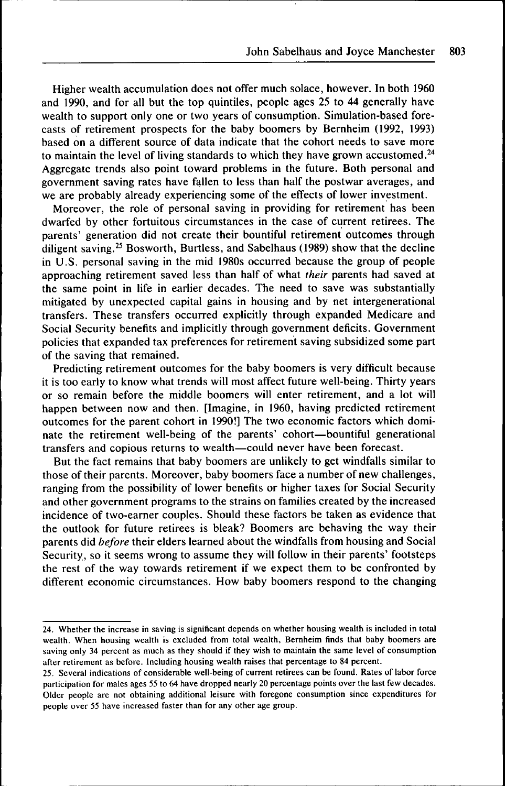Higher wealth accumulation does not offer much solace, however. In both 1960 and 1990, and for all but the top quintiles, people ages 25 to 44 generally have wealth to support only one or two years of consumption. Simulation-based forecasts of retirement prospects for the baby boomers by Bernheim (1992, 1993) based on a different source of data indicate that the cohort needs to save more to maintain the level of living standards to which they have grown accustomed.<sup>24</sup> Aggregate trends also point toward problems in the future. Both personal and government saving rates have fallen to less than half the postwar averages, and we are probably already experiencing some of the effects of lower investment.

Moreover, the role of personal saving in providing for retirement has been dwarfed by other fortuitous circumstances in the case of current retirees. The parents' generation did not create their bountiful retirement outcomes through diligent saving.<sup>25</sup> Bosworth, Burtless, and Sabelhaus (1989) show that the decline in U.S. personal saving in the mid 1980s occurred because the group of people approaching retirement saved less than half of what *their* parents had saved at the same point in life in earlier decades. The need to save was substantially mitigated by unexpected capital gains in housing and by net intergenerational transfers. These transfers occurred explicitly through expanded Medicare and Social Security benefits and implicitly through government deficits. Government policies that expanded tax preferences for retirement saving subsidized some part of the saving that remained.

Predicting retirement outcomes for the baby boomers is very difficult because it is too early to know what trends will most affect future well-being. Thirty years or so remain before the middle boomers will enter retirement, and a lot will happen between now and then. [Imagine, in 1960, having predicted retirement outcomes for the parent cohort in 1990!] The two economic factors which dominate the retirement well-being of the parents' cohort—bountiful generational transfers and copious returns to wealth—could never have been forecast.

But the fact remains that baby boomers are unlikely to get windfalls similar to those of their parents. Moreover, baby boomers face a number of new challenges, ranging from the possibility of lower benefits or higher taxes for Social Security and other government programs to the strains on families created by the increased incidence of two-earner couples. Should these factors be taken as evidence that the outlook for future retirees is bleak? Boomers are behaving the way their parents did *before* their elders learned about the windfalls from housing and Social Security, so it seems wrong to assume they will follow in their parents' footsteps the rest of the way towards retirement if we expect them to be confronted by different economic circumstances. How baby boomers respond to the changing

<sup>24.</sup> Whether the increase in saving is significant depends on whether housing wealth is included in total wealth. When housing wealth is excluded from total wealth, Bernheim finds that baby boomers are saving only 34 percent as much as they should if they wish to maintain the same level of consumption after retirement as before. Including housing wealth raises that percentage to 84 percent.

<sup>25.</sup> Several indications of considerable well-being of current retirees can be found. Rates of labor force participation for males ages 55 to 64 have dropped nearly 20 percentage points over the last few decades. Older people are not obtaining additional leisure with foregone consumption since expenditures for people over 55 have increased faster than for any other age group.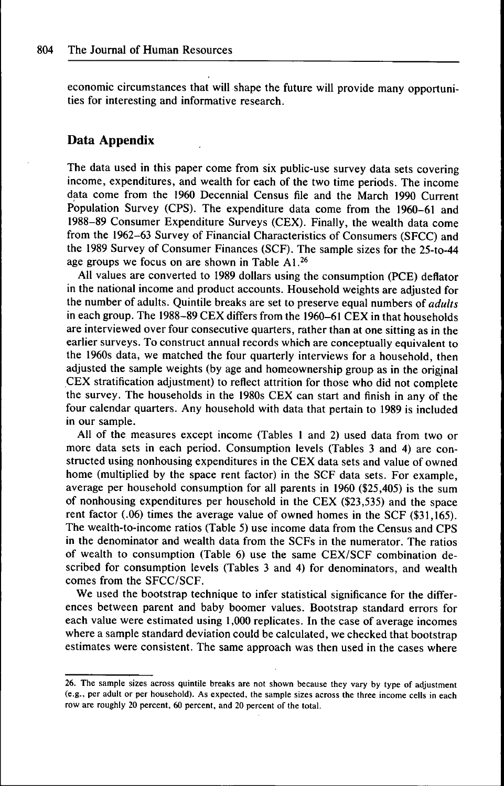economic circumstances that will shape the future will provide many opportunities for interesting and informative research.

## **Data Appendix**

The data used in this paper come from six public-use survey data sets covering income, expenditures, and wealth for each of the two time periods. The income data come from the 1960 Decennial Census file and the March 1990 Current Population Survey (CPS). The expenditure data come from the 1960-61 and 1988-89 Consumer Expenditure Surveys (CEX). Finally, the wealth data come from the 1962-63 Survey of Financial Characteristics of Consumers (SFCC) and the 1989 Survey of Consumer Finances (SCF). The sample sizes for the 25-to-44 age groups we focus on are shown in Table  $A1<sup>26</sup>$ 

All values are converted to 1989 dollars using the consumption (PCE) deflator in the national income and product accounts. Household weights are adjusted for the number of adults. Quintile breaks are set to preserve equal numbers *of adults* in each group. The 1988-89 CEX differs from the 1960-61 CEX in that households are interviewed over four consecutive quarters, rather than at one sitting as in the earlier surveys. To construct annual records which are conceptually equivalent to the 1960s data, we matched the four quarterly interviews for a household, then adjusted the sample weights (by age and homeownership group as in the original CEX stratification adjustment) to reflect attrition for those who did not complete the survey. The households in the 1980s CEX can start and finish in any of the four calendar quarters. Any household with data that pertain to 1989 is included in our sample.

All of the measures except income (Tables 1 and 2) used data from two or more data sets in each period. Consumption levels (Tables 3 and 4) are constructed using nonhousing expenditures in the CEX data sets and value of owned home (multiplied by the space rent factor) in the SCF data sets. For example, average per household consumption for all parents in 1960 (\$25,405) is the sum of nonhousing expenditures per household in the CEX (\$23,535) and the space rent factor (.06) times the average value of owned homes in the SCF (\$31,165). The wealth-to-income ratios (Table 5) use income data from the Census and CPS in the denominator and wealth data from the SCFs in the numerator. The ratios of wealth to consumption (Table 6) use the same CEX/SCF combination described for consumption levels (Tables 3 and 4) for denominators, and wealth comes from the SFCC/SCF.

We used the bootstrap technique to infer statistical significance for the differences between parent and baby boomer values. Bootstrap standard errors for each value were estimated using 1,000 replicates. In the case of average incomes where a sample standard deviation could be calculated, we checked that bootstrap estimates were consistent. The same approach was then used in the cases where

<sup>26.</sup> The sample sizes across quintile breaks are not shown because they vary by type of adjustment (e.g.. per adult or per household). As expected, the sample sizes across the three income cells in each row are roughly 20 percent, 60 percent, and 20 percent of the total.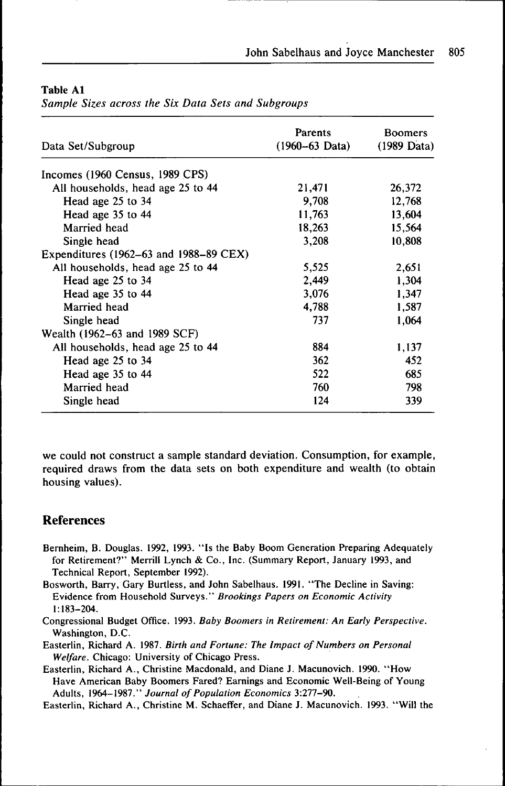| Data Set/Subgroup                          | <b>Parents</b><br>$(1960 - 63 \text{ Data})$ | <b>Boomers</b><br>$(1989 \text{ Data})$ |
|--------------------------------------------|----------------------------------------------|-----------------------------------------|
| Incomes (1960 Census, 1989 CPS)            |                                              |                                         |
| All households, head age 25 to 44          | 21,471                                       | 26,372                                  |
| Head age 25 to 34                          | 9,708                                        | 12,768                                  |
| Head age 35 to 44                          | 11,763                                       | 13,604                                  |
| Married head                               | 18,263                                       | 15,564                                  |
| Single head                                | 3,208                                        | 10,808                                  |
| Expenditures $(1962-63$ and $1988-89$ CEX) |                                              |                                         |
| All households, head age 25 to 44          | 5,525                                        | 2,651                                   |
| Head age 25 to 34                          | 2,449                                        | 1,304                                   |
| Head age 35 to 44                          | 3,076                                        | 1,347                                   |
| Married head                               | 4,788                                        | 1,587                                   |
| Single head                                | 737                                          | 1,064                                   |
| Wealth (1962–63 and 1989 SCF)              |                                              |                                         |
| All households, head age 25 to 44          | 884                                          | 1,137                                   |
| Head age 25 to 34                          | 362                                          | 452                                     |
| Head age 35 to 44                          | 522                                          | 685                                     |
| Married head                               | 760                                          | 798                                     |
| Single head                                | 124                                          | 339                                     |

## Table Al

*Sample Sizes across the Six Data Sets and Subgroups*

we could not construct a sample standard deviation. Consumption, for example, required draws from the data sets on both expenditure and wealth (to obtain housing values).

## References

- Bemheim, B, Douglas. 1992, 1993. "Is the Baby Boom Generation Preparing Adequately for Retirement?" Merrill Lynch & Co., Inc. (Summary Report, January 1993, and Technical Report, September 1992),
- Bosworth, Barry, Gary Burtless, and John Sabelhaus, 1991, "The Decline in Saving: Evidence from Household Surveys," *Brookings Papers on Economic Activity* 1:183-204,
- Congressional Budget Office, 1993. *Baby Boomers in Retirement: An Early Perspective.* Washington, D.C.
- Easterlin, Richard A. 1987, *Birth and Fortune: The Impact of Numbers on Personal Welfare.* Chicago: University of Chicago Press,
- Easterlin, Richard A,, Christine Macdonald, and Diane J, Macunovich, 1990, "How Have American Baby Boomers Fared? Earnings and Economic Well-Being of Young Adults, 1964.-1987." *Journal of Population Economics* 3:277-90,
- Easterlin, Richard A., Christine M, Schaeffer, and Diane J. Macunovich, 1993, "Will the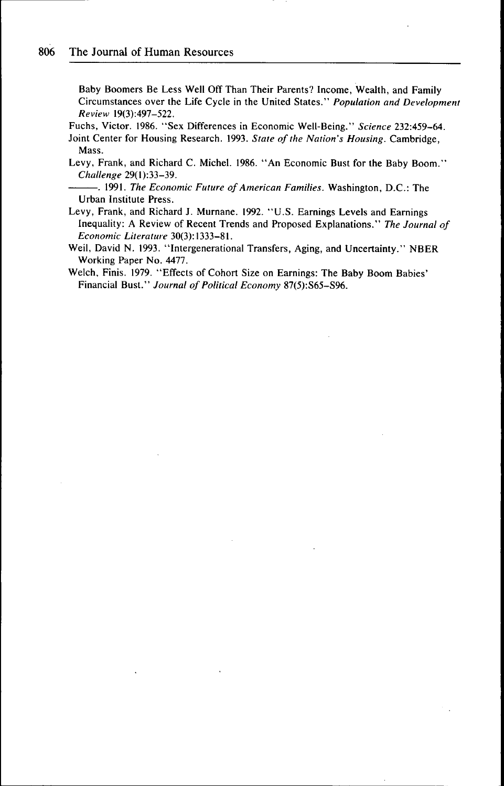Baby Boomers Be Less Well Off Than Their Parents? Income, Wealth, and Family Circumstances over the Life Cycle in the United States," *Population and Development Review* 19(3):497-522,

Fuchs, Victor, 1986. "Sex Differences in Economic Well-Being." *Science* 232:459-64, Joint Center for Housing Research, 1993, *State of the Nation's Housing.* Cambridge, Mass,

- Levy, Frank, and Richard C, Michel, 1986, "An Economic Bust for the Baby Boom," *Challenge* 29(1):33-39.
- . 1991, *The Economic Future of American Families.* Washington, D.C,: The Urban Institute Press.
- Levy, Frank, and Richard J, Murnane, 1992, "U.S, Earnings Levels and Earnings Inequality: A Review of Recent Trends and Proposed Explanations." *The Journal of Economic Literature* 30(3): 1333-81,
- Weil, David N. 1993, "Intergenerational Transfers, Aging, and Uncertainty." NBER Working Paper No, 4477.
- Welch, Finis, 1979, "Effects of Cohort Size on Earnings: The Baby Boom Babies' Financial Bust," *Journal of Political Economy* 87(5):S65-S96,